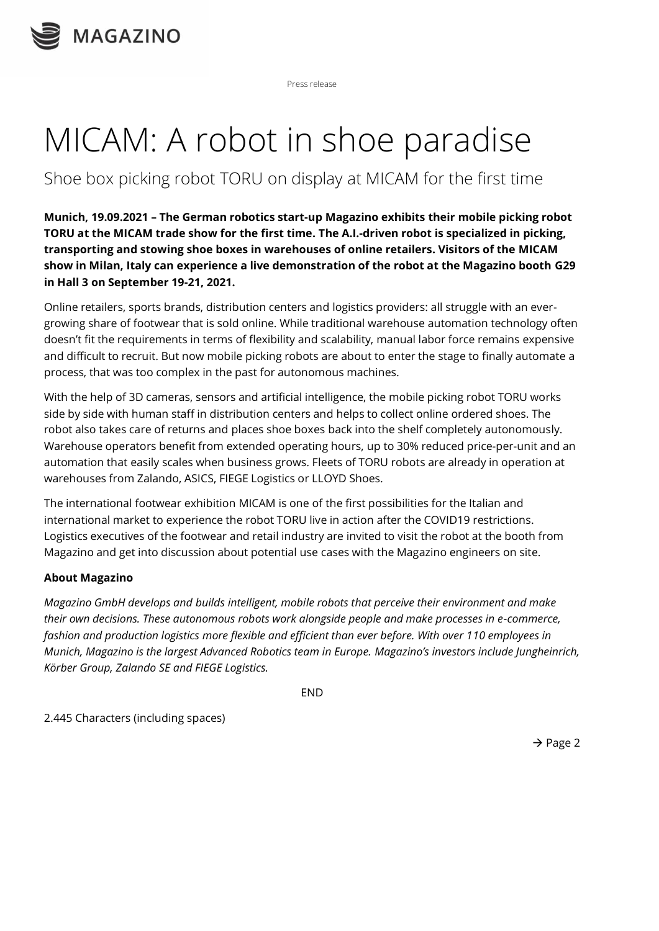

Press release

## MICAM: A robot in shoe paradise

## Shoe box picking robot TORU on display at MICAM for the first time

**Munich, 19.09.2021 – The German robotics start-up Magazino exhibits their mobile picking robot TORU at the MICAM trade show for the first time. The A.I.-driven robot is specialized in picking, transporting and stowing shoe boxes in warehouses of online retailers. Visitors of the MICAM show in Milan, Italy can experience a live demonstration of the robot at the Magazino booth G29 in Hall 3 on September 19-21, 2021.** 

Online retailers, sports brands, distribution centers and logistics providers: all struggle with an evergrowing share of footwear that is sold online. While traditional warehouse automation technology often doesn't fit the requirements in terms of flexibility and scalability, manual labor force remains expensive and difficult to recruit. But now mobile picking robots are about to enter the stage to finally automate a process, that was too complex in the past for autonomous machines.

With the help of 3D cameras, sensors and artificial intelligence, the mobile picking robot TORU works side by side with human staff in distribution centers and helps to collect online ordered shoes. The robot also takes care of returns and places shoe boxes back into the shelf completely autonomously. Warehouse operators benefit from extended operating hours, up to 30% reduced price-per-unit and an automation that easily scales when business grows. Fleets of TORU robots are already in operation at warehouses from Zalando, ASICS, FIEGE Logistics or LLOYD Shoes.

The international footwear exhibition MICAM is one of the first possibilities for the Italian and international market to experience the robot TORU live in action after the COVID19 restrictions. Logistics executives of the footwear and retail industry are invited to visit the robot at the booth from Magazino and get into discussion about potential use cases with the Magazino engineers on site.

## **About Magazino**

*Magazino GmbH develops and builds intelligent, mobile robots that perceive their environment and make their own decisions. These autonomous robots work alongside people and make processes in e-commerce, fashion and production logistics more flexible and efficient than ever before. With over 110 employees in Munich, Magazino is the largest Advanced Robotics team in Europe. Magazino's investors include Jungheinrich, Körber Group, Zalando SE and FIEGE Logistics.*

**FND** 

2.445 Characters (including spaces)